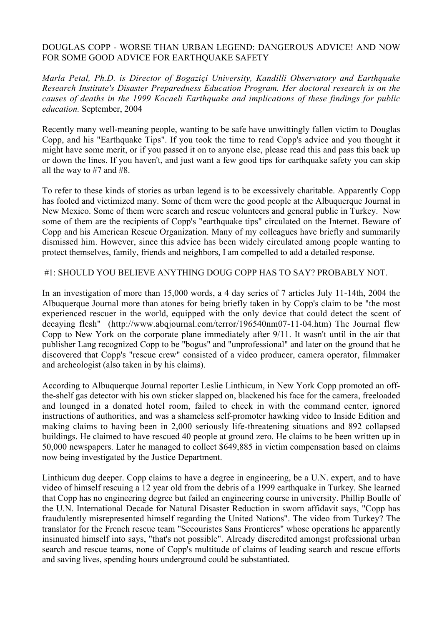### DOUGLAS COPP - WORSE THAN URBAN LEGEND: DANGEROUS ADVICE! AND NOW FOR SOME GOOD ADVICE FOR EARTHQUAKE SAFETY

*Marla Petal, Ph.D. is Director of Bogaziçi University, Kandilli Observatory and Earthquake Research Institute's Disaster Preparedness Education Program. Her doctoral research is on the causes of deaths in the 1999 Kocaeli Earthquake and implications of these findings for public education.* September, 2004

Recently many well-meaning people, wanting to be safe have unwittingly fallen victim to Douglas Copp, and his "Earthquake Tips". If you took the time to read Copp's advice and you thought it might have some merit, or if you passed it on to anyone else, please read this and pass this back up or down the lines. If you haven't, and just want a few good tips for earthquake safety you can skip all the way to #7 and #8.

To refer to these kinds of stories as urban legend is to be excessively charitable. Apparently Copp has fooled and victimized many. Some of them were the good people at the Albuquerque Journal in New Mexico. Some of them were search and rescue volunteers and general public in Turkey. Now some of them are the recipients of Copp's "earthquake tips" circulated on the Internet. Beware of Copp and his American Rescue Organization. Many of my colleagues have briefly and summarily dismissed him. However, since this advice has been widely circulated among people wanting to protect themselves, family, friends and neighbors, I am compelled to add a detailed response.

### #1: SHOULD YOU BELIEVE ANYTHING DOUG COPP HAS TO SAY? PROBABLY NOT.

In an investigation of more than 15,000 words, a 4 day series of 7 articles July 11-14th, 2004 the Albuquerque Journal more than atones for being briefly taken in by Copp's claim to be "the most experienced rescuer in the world, equipped with the only device that could detect the scent of decaying flesh" (http://www.abqjournal.com/terror/196540nm07-11-04.htm) The Journal flew Copp to New York on the corporate plane immediately after 9/11. It wasn't until in the air that publisher Lang recognized Copp to be "bogus" and "unprofessional" and later on the ground that he discovered that Copp's "rescue crew" consisted of a video producer, camera operator, filmmaker and archeologist (also taken in by his claims).

According to Albuquerque Journal reporter Leslie Linthicum, in New York Copp promoted an offthe-shelf gas detector with his own sticker slapped on, blackened his face for the camera, freeloaded and lounged in a donated hotel room, failed to check in with the command center, ignored instructions of authorities, and was a shameless self-promoter hawking video to Inside Edition and making claims to having been in 2,000 seriously life-threatening situations and 892 collapsed buildings. He claimed to have rescued 40 people at ground zero. He claims to be been written up in 50,000 newspapers. Later he managed to collect \$649,885 in victim compensation based on claims now being investigated by the Justice Department.

Linthicum dug deeper. Copp claims to have a degree in engineering, be a U.N. expert, and to have video of himself rescuing a 12 year old from the debris of a 1999 earthquake in Turkey. She learned that Copp has no engineering degree but failed an engineering course in university. Phillip Boulle of the U.N. International Decade for Natural Disaster Reduction in sworn affidavit says, "Copp has fraudulently misrepresented himself regarding the United Nations". The video from Turkey? The translator for the French rescue team "Secouristes Sans Frontieres" whose operations he apparently insinuated himself into says, "that's not possible". Already discredited amongst professional urban search and rescue teams, none of Copp's multitude of claims of leading search and rescue efforts and saving lives, spending hours underground could be substantiated.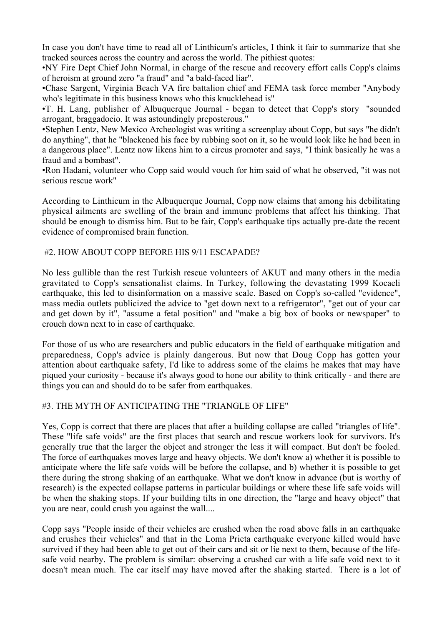In case you don't have time to read all of Linthicum's articles, I think it fair to summarize that she tracked sources across the country and across the world. The pithiest quotes:

•NY Fire Dept Chief John Normal, in charge of the rescue and recovery effort calls Copp's claims of heroism at ground zero "a fraud" and "a bald-faced liar".

•Chase Sargent, Virginia Beach VA fire battalion chief and FEMA task force member "Anybody who's legitimate in this business knows who this knucklehead is"

•T. H. Lang, publisher of Albuquerque Journal - began to detect that Copp's story "sounded arrogant, braggadocio. It was astoundingly preposterous."

•Stephen Lentz, New Mexico Archeologist was writing a screenplay about Copp, but says "he didn't do anything", that he "blackened his face by rubbing soot on it, so he would look like he had been in a dangerous place". Lentz now likens him to a circus promoter and says, "I think basically he was a fraud and a bombast".

•Ron Hadani, volunteer who Copp said would vouch for him said of what he observed, "it was not serious rescue work"

According to Linthicum in the Albuquerque Journal, Copp now claims that among his debilitating physical ailments are swelling of the brain and immune problems that affect his thinking. That should be enough to dismiss him. But to be fair, Copp's earthquake tips actually pre-date the recent evidence of compromised brain function.

## #2. HOW ABOUT COPP BEFORE HIS 9/11 ESCAPADE?

No less gullible than the rest Turkish rescue volunteers of AKUT and many others in the media gravitated to Copp's sensationalist claims. In Turkey, following the devastating 1999 Kocaeli earthquake, this led to disinformation on a massive scale. Based on Copp's so-called "evidence", mass media outlets publicized the advice to "get down next to a refrigerator", "get out of your car and get down by it", "assume a fetal position" and "make a big box of books or newspaper" to crouch down next to in case of earthquake.

For those of us who are researchers and public educators in the field of earthquake mitigation and preparedness, Copp's advice is plainly dangerous. But now that Doug Copp has gotten your attention about earthquake safety, I'd like to address some of the claims he makes that may have piqued your curiosity - because it's always good to hone our ability to think critically - and there are things you can and should do to be safer from earthquakes.

## #3. THE MYTH OF ANTICIPATING THE "TRIANGLE OF LIFE"

Yes, Copp is correct that there are places that after a building collapse are called "triangles of life". These "life safe voids" are the first places that search and rescue workers look for survivors. It's generally true that the larger the object and stronger the less it will compact. But don't be fooled. The force of earthquakes moves large and heavy objects. We don't know a) whether it is possible to anticipate where the life safe voids will be before the collapse, and b) whether it is possible to get there during the strong shaking of an earthquake. What we don't know in advance (but is worthy of research) is the expected collapse patterns in particular buildings or where these life safe voids will be when the shaking stops. If your building tilts in one direction, the "large and heavy object" that you are near, could crush you against the wall....

Copp says "People inside of their vehicles are crushed when the road above falls in an earthquake and crushes their vehicles" and that in the Loma Prieta earthquake everyone killed would have survived if they had been able to get out of their cars and sit or lie next to them, because of the lifesafe void nearby. The problem is similar: observing a crushed car with a life safe void next to it doesn't mean much. The car itself may have moved after the shaking started. There is a lot of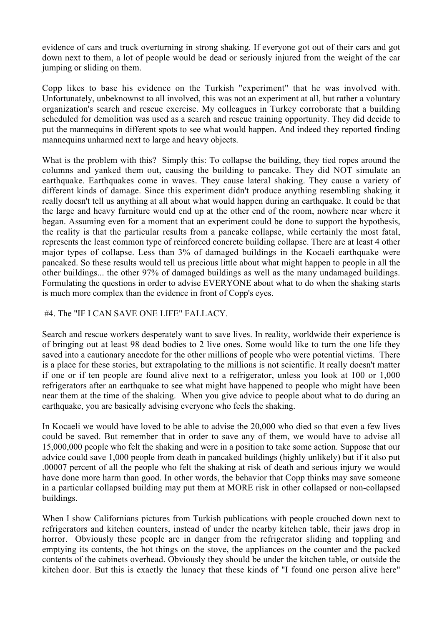evidence of cars and truck overturning in strong shaking. If everyone got out of their cars and got down next to them, a lot of people would be dead or seriously injured from the weight of the car jumping or sliding on them.

Copp likes to base his evidence on the Turkish "experiment" that he was involved with. Unfortunately, unbeknownst to all involved, this was not an experiment at all, but rather a voluntary organization's search and rescue exercise. My colleagues in Turkey corroborate that a building scheduled for demolition was used as a search and rescue training opportunity. They did decide to put the mannequins in different spots to see what would happen. And indeed they reported finding mannequins unharmed next to large and heavy objects.

What is the problem with this? Simply this: To collapse the building, they tied ropes around the columns and yanked them out, causing the building to pancake. They did NOT simulate an earthquake. Earthquakes come in waves. They cause lateral shaking. They cause a variety of different kinds of damage. Since this experiment didn't produce anything resembling shaking it really doesn't tell us anything at all about what would happen during an earthquake. It could be that the large and heavy furniture would end up at the other end of the room, nowhere near where it began. Assuming even for a moment that an experiment could be done to support the hypothesis, the reality is that the particular results from a pancake collapse, while certainly the most fatal, represents the least common type of reinforced concrete building collapse. There are at least 4 other major types of collapse. Less than 3% of damaged buildings in the Kocaeli earthquake were pancaked. So these results would tell us precious little about what might happen to people in all the other buildings... the other 97% of damaged buildings as well as the many undamaged buildings. Formulating the questions in order to advise EVERYONE about what to do when the shaking starts is much more complex than the evidence in front of Copp's eyes.

### #4. The "IF I CAN SAVE ONE LIFE" FALLACY.

Search and rescue workers desperately want to save lives. In reality, worldwide their experience is of bringing out at least 98 dead bodies to 2 live ones. Some would like to turn the one life they saved into a cautionary anecdote for the other millions of people who were potential victims. There is a place for these stories, but extrapolating to the millions is not scientific. It really doesn't matter if one or if ten people are found alive next to a refrigerator, unless you look at 100 or 1,000 refrigerators after an earthquake to see what might have happened to people who might have been near them at the time of the shaking. When you give advice to people about what to do during an earthquake, you are basically advising everyone who feels the shaking.

In Kocaeli we would have loved to be able to advise the 20,000 who died so that even a few lives could be saved. But remember that in order to save any of them, we would have to advise all 15,000,000 people who felt the shaking and were in a position to take some action. Suppose that our advice could save 1,000 people from death in pancaked buildings (highly unlikely) but if it also put .00007 percent of all the people who felt the shaking at risk of death and serious injury we would have done more harm than good. In other words, the behavior that Copp thinks may save someone in a particular collapsed building may put them at MORE risk in other collapsed or non-collapsed buildings.

When I show Californians pictures from Turkish publications with people crouched down next to refrigerators and kitchen counters, instead of under the nearby kitchen table, their jaws drop in horror. Obviously these people are in danger from the refrigerator sliding and toppling and emptying its contents, the hot things on the stove, the appliances on the counter and the packed contents of the cabinets overhead. Obviously they should be under the kitchen table, or outside the kitchen door. But this is exactly the lunacy that these kinds of "I found one person alive here"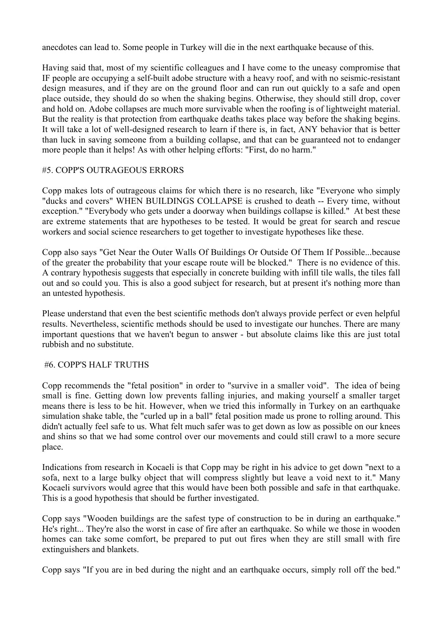anecdotes can lead to. Some people in Turkey will die in the next earthquake because of this.

Having said that, most of my scientific colleagues and I have come to the uneasy compromise that IF people are occupying a self-built adobe structure with a heavy roof, and with no seismic-resistant design measures, and if they are on the ground floor and can run out quickly to a safe and open place outside, they should do so when the shaking begins. Otherwise, they should still drop, cover and hold on. Adobe collapses are much more survivable when the roofing is of lightweight material. But the reality is that protection from earthquake deaths takes place way before the shaking begins. It will take a lot of well-designed research to learn if there is, in fact, ANY behavior that is better than luck in saving someone from a building collapse, and that can be guaranteed not to endanger more people than it helps! As with other helping efforts: "First, do no harm."

## #5. COPP'S OUTRAGEOUS ERRORS

Copp makes lots of outrageous claims for which there is no research, like "Everyone who simply "ducks and covers" WHEN BUILDINGS COLLAPSE is crushed to death -- Every time, without exception." "Everybody who gets under a doorway when buildings collapse is killed." At best these are extreme statements that are hypotheses to be tested. It would be great for search and rescue workers and social science researchers to get together to investigate hypotheses like these.

Copp also says "Get Near the Outer Walls Of Buildings Or Outside Of Them If Possible...because of the greater the probability that your escape route will be blocked." There is no evidence of this. A contrary hypothesis suggests that especially in concrete building with infill tile walls, the tiles fall out and so could you. This is also a good subject for research, but at present it's nothing more than an untested hypothesis.

Please understand that even the best scientific methods don't always provide perfect or even helpful results. Nevertheless, scientific methods should be used to investigate our hunches. There are many important questions that we haven't begun to answer - but absolute claims like this are just total rubbish and no substitute.

#### #6. COPP'S HALF TRUTHS

Copp recommends the "fetal position" in order to "survive in a smaller void". The idea of being small is fine. Getting down low prevents falling injuries, and making yourself a smaller target means there is less to be hit. However, when we tried this informally in Turkey on an earthquake simulation shake table, the "curled up in a ball" fetal position made us prone to rolling around. This didn't actually feel safe to us. What felt much safer was to get down as low as possible on our knees and shins so that we had some control over our movements and could still crawl to a more secure place.

Indications from research in Kocaeli is that Copp may be right in his advice to get down "next to a sofa, next to a large bulky object that will compress slightly but leave a void next to it." Many Kocaeli survivors would agree that this would have been both possible and safe in that earthquake. This is a good hypothesis that should be further investigated.

Copp says "Wooden buildings are the safest type of construction to be in during an earthquake." He's right... They're also the worst in case of fire after an earthquake. So while we those in wooden homes can take some comfort, be prepared to put out fires when they are still small with fire extinguishers and blankets.

Copp says "If you are in bed during the night and an earthquake occurs, simply roll off the bed."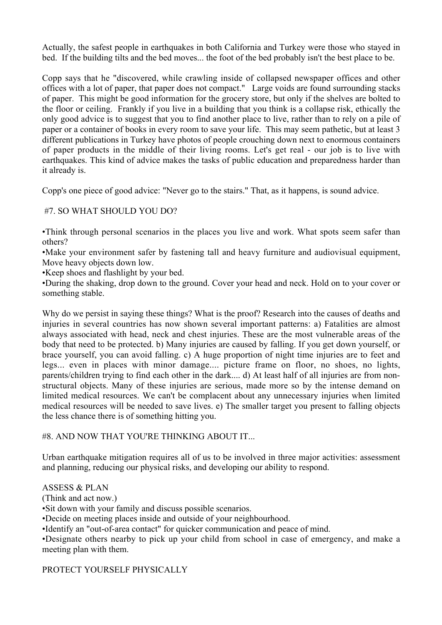Actually, the safest people in earthquakes in both California and Turkey were those who stayed in bed. If the building tilts and the bed moves... the foot of the bed probably isn't the best place to be.

Copp says that he "discovered, while crawling inside of collapsed newspaper offices and other offices with a lot of paper, that paper does not compact." Large voids are found surrounding stacks of paper. This might be good information for the grocery store, but only if the shelves are bolted to the floor or ceiling. Frankly if you live in a building that you think is a collapse risk, ethically the only good advice is to suggest that you to find another place to live, rather than to rely on a pile of paper or a container of books in every room to save your life. This may seem pathetic, but at least 3 different publications in Turkey have photos of people crouching down next to enormous containers of paper products in the middle of their living rooms. Let's get real - our job is to live with earthquakes. This kind of advice makes the tasks of public education and preparedness harder than it already is.

Copp's one piece of good advice: "Never go to the stairs." That, as it happens, is sound advice.

# #7. SO WHAT SHOULD YOU DO?

•Think through personal scenarios in the places you live and work. What spots seem safer than others?

•Make your environment safer by fastening tall and heavy furniture and audiovisual equipment, Move heavy objects down low.

•Keep shoes and flashlight by your bed.

•During the shaking, drop down to the ground. Cover your head and neck. Hold on to your cover or something stable.

Why do we persist in saying these things? What is the proof? Research into the causes of deaths and injuries in several countries has now shown several important patterns: a) Fatalities are almost always associated with head, neck and chest injuries. These are the most vulnerable areas of the body that need to be protected. b) Many injuries are caused by falling. If you get down yourself, or brace yourself, you can avoid falling. c) A huge proportion of night time injuries are to feet and legs... even in places with minor damage.... picture frame on floor, no shoes, no lights, parents/children trying to find each other in the dark.... d) At least half of all injuries are from nonstructural objects. Many of these injuries are serious, made more so by the intense demand on limited medical resources. We can't be complacent about any unnecessary injuries when limited medical resources will be needed to save lives. e) The smaller target you present to falling objects the less chance there is of something hitting you.

# #8. AND NOW THAT YOU'RE THINKING ABOUT IT...

Urban earthquake mitigation requires all of us to be involved in three major activities: assessment and planning, reducing our physical risks, and developing our ability to respond.

ASSESS & PLAN

(Think and act now.)

•Sit down with your family and discuss possible scenarios.

•Decide on meeting places inside and outside of your neighbourhood.

•Identify an "out-of-area contact" for quicker communication and peace of mind.

•Designate others nearby to pick up your child from school in case of emergency, and make a meeting plan with them.

## PROTECT YOURSELF PHYSICALLY